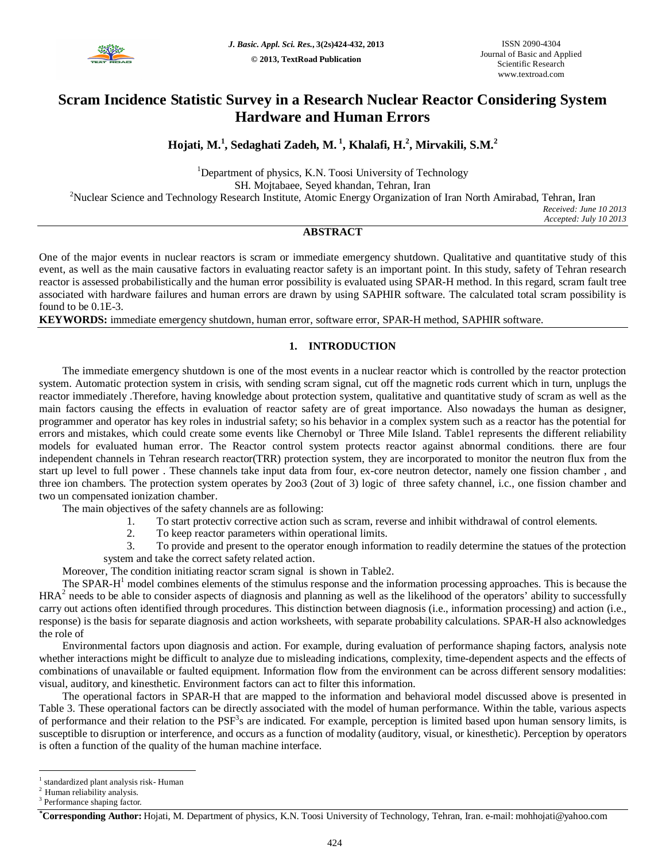

# **Scram Incidence Statistic Survey in a Research Nuclear Reactor Considering System Hardware and Human Errors**

# **Hojati, M. 1 , Sedaghati Zadeh, M. 1 , Khalafi, H.<sup>2</sup> , Mirvakili, S.M.<sup>2</sup>**

<sup>1</sup>Department of physics, K.N. Toosi University of Technology SH. Mojtabaee, Seyed khandan, Tehran, Iran <sup>2</sup>Nuclear Science and Technology Research Institute, Atomic Energy Organization of Iran North Amirabad, Tehran, Iran *Received: June 10 2013*

*Accepted: July 10 2013*

# **ABSTRACT**

One of the major events in nuclear reactors is scram or immediate emergency shutdown. Qualitative and quantitative study of this event, as well as the main causative factors in evaluating reactor safety is an important point. In this study, safety of Tehran research reactor is assessed probabilistically and the human error possibility is evaluated using SPAR-H method. In this regard, scram fault tree associated with hardware failures and human errors are drawn by using SAPHIR software. The calculated total scram possibility is found to be 0.1E-3.

**KEYWORDS:** immediate emergency shutdown, human error, software error, SPAR-H method, SAPHIR software.

## **1. INTRODUCTION**

The immediate emergency shutdown is one of the most events in a nuclear reactor which is controlled by the reactor protection system. Automatic protection system in crisis, with sending scram signal, cut off the magnetic rods current which in turn, unplugs the reactor immediately .Therefore, having knowledge about protection system, qualitative and quantitative study of scram as well as the main factors causing the effects in evaluation of reactor safety are of great importance. Also nowadays the human as designer, programmer and operator has key roles in industrial safety; so his behavior in a complex system such as a reactor has the potential for errors and mistakes, which could create some events like Chernobyl or Three Mile Island. Table1 represents the different reliability models for evaluated human error. The Reactor control system protects reactor against abnormal conditions. there are four independent channels in Tehran research reactor(TRR) protection system, they are incorporated to monitor the neutron flux from the start up level to full power . These channels take input data from four, ex-core neutron detector, namely one fission chamber , and three ion chambers. The protection system operates by 2oo3 (2out of 3) logic of three safety channel, i.c., one fission chamber and two un compensated ionization chamber.

The main objectives of the safety channels are as following:

- 1. To start protectiv corrective action such as scram, reverse and inhibit withdrawal of control elements.
- 2. To keep reactor parameters within operational limits.

3. To provide and present to the operator enough information to readily determine the statues of the protection system and take the correct safety related action.

Moreover, The condition initiating reactor scram signal is shown in Table2.

The SPAR- $H<sup>1</sup>$  model combines elements of the stimulus response and the information processing approaches. This is because the  $HRA<sup>2</sup>$  needs to be able to consider aspects of diagnosis and planning as well as the likelihood of the operators' ability to successfully carry out actions often identified through procedures. This distinction between diagnosis (i.e., information processing) and action (i.e., response) is the basis for separate diagnosis and action worksheets, with separate probability calculations. SPAR-H also acknowledges the role of

Environmental factors upon diagnosis and action. For example, during evaluation of performance shaping factors, analysis note whether interactions might be difficult to analyze due to misleading indications, complexity, time-dependent aspects and the effects of combinations of unavailable or faulted equipment. Information flow from the environment can be across different sensory modalities: visual, auditory, and kinesthetic. Environment factors can act to filter this information.

The operational factors in SPAR-H that are mapped to the information and behavioral model discussed above is presented in Table 3. These operational factors can be directly associated with the model of human performance. Within the table, various aspects of performance and their relation to the PSF<sup>3</sup>s are indicated. For example, perception is limited based upon human sensory limits, is susceptible to disruption or interference, and occurs as a function of modality (auditory, visual, or kinesthetic). Perception by operators is often a function of the quality of the human machine interface.

 $\overline{a}$ 

<sup>1</sup> standardized plant analysis risk- Human

Human reliability analysis.

<sup>&</sup>lt;sup>3</sup> Performance shaping factor.

*<sup>\*</sup>***Corresponding Author:** Hojati, M. Department of physics, K.N. Toosi University of Technology, Tehran, Iran. e-mail: mohhojati@yahoo.com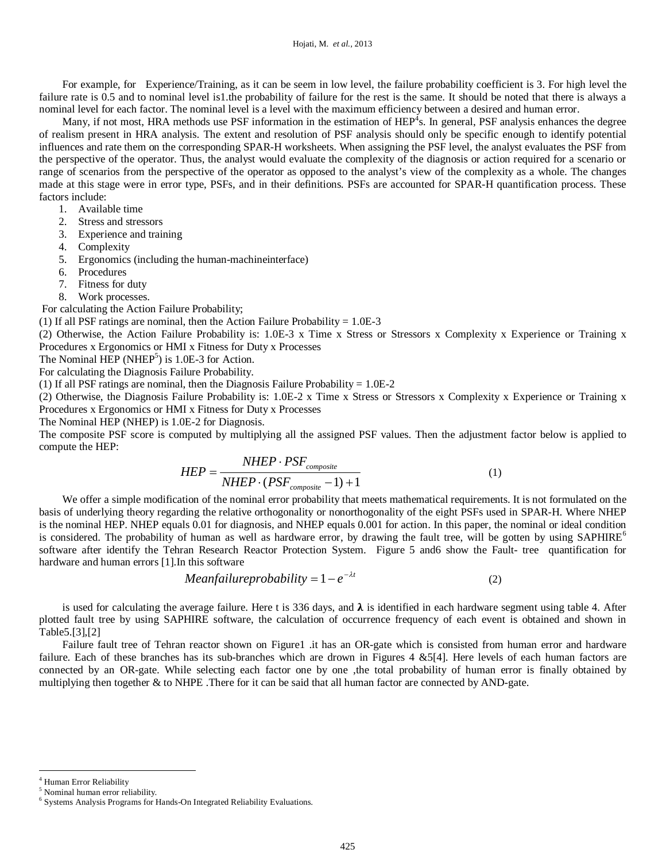Hojati, M. *et al.,* 2013

For example, for Experience/Training, as it can be seem in low level, the failure probability coefficient is 3. For high level the failure rate is 0.5 and to nominal level is1.the probability of failure for the rest is the same. It should be noted that there is always a nominal level for each factor. The nominal level is a level with the maximum efficiency between a desired and human error.

Many, if not most, HRA methods use PSF information in the estimation of  $HEP<sup>4</sup>$ s. In general, PSF analysis enhances the degree of realism present in HRA analysis. The extent and resolution of PSF analysis should only be specific enough to identify potential influences and rate them on the corresponding SPAR-H worksheets. When assigning the PSF level, the analyst evaluates the PSF from the perspective of the operator. Thus, the analyst would evaluate the complexity of the diagnosis or action required for a scenario or range of scenarios from the perspective of the operator as opposed to the analyst's view of the complexity as a whole. The changes made at this stage were in error type, PSFs, and in their definitions. PSFs are accounted for SPAR-H quantification process. These factors include:

- 1. Available time
- 2. Stress and stressors
- 3. Experience and training
- 4. Complexity
- 5. Ergonomics (including the human-machineinterface)
- 6. Procedures
- 7. Fitness for duty
- 8. Work processes.

For calculating the Action Failure Probability;

(1) If all PSF ratings are nominal, then the Action Failure Probability =  $1.0E-3$ 

(2) Otherwise, the Action Failure Probability is: 1.0E-3 x Time x Stress or Stressors x Complexity x Experience or Training x Procedures x Ergonomics or HMI x Fitness for Duty x Processes

The Nominal HEP (NHEP<sup>5</sup>) is  $1.0E-3$  for Action.

For calculating the Diagnosis Failure Probability.

(1) If all PSF ratings are nominal, then the Diagnosis Failure Probability  $= 1.0E-2$ 

(2) Otherwise, the Diagnosis Failure Probability is: 1.0E-2 x Time x Stress or Stressors x Complexity x Experience or Training x Procedures x Ergonomics or HMI x Fitness for Duty x Processes

The Nominal HEP (NHEP) is 1.0E-2 for Diagnosis.

The composite PSF score is computed by multiplying all the assigned PSF values. Then the adjustment factor below is applied to compute the HEP:

$$
HEP = \frac{NHEP \cdot PSF_{composite}}{NHEP \cdot (PSF_{composite} - 1) + 1}
$$
 (1)

We offer a simple modification of the nominal error probability that meets mathematical requirements. It is not formulated on the basis of underlying theory regarding the relative orthogonality or nonorthogonality of the eight PSFs used in SPAR-H. Where NHEP is the nominal HEP. NHEP equals 0.01 for diagnosis, and NHEP equals 0.001 for action. In this paper, the nominal or ideal condition is considered. The probability of human as well as hardware error, by drawing the fault tree, will be gotten by using SAPHIRE<sup>6</sup> software after identify the Tehran Research Reactor Protection System. Figure 5 and6 show the Fault- tree quantification for hardware and human errors [1].In this software

$$
Mean failure probability = 1 - e^{-\lambda t}
$$
 (2)

is used for calculating the average failure. Here t is 336 days, and  $\lambda$  is identified in each hardware segment using table 4. After plotted fault tree by using SAPHIRE software, the calculation of occurrence frequency of each event is obtained and shown in Table5.[3],[2]

Failure fault tree of Tehran reactor shown on Figure1 .it has an OR-gate which is consisted from human error and hardware failure. Each of these branches has its sub-branches which are drown in Figures 4 &5[4]. Here levels of each human factors are connected by an OR-gate. While selecting each factor one by one ,the total probability of human error is finally obtained by multiplying then together & to NHPE .There for it can be said that all human factor are connected by AND-gate.

 $\overline{a}$ 

<sup>4</sup> Human Error Reliability

<sup>&</sup>lt;sup>5</sup> Nominal human error reliability.

<sup>6</sup> Systems Analysis Programs for Hands-On Integrated Reliability Evaluations.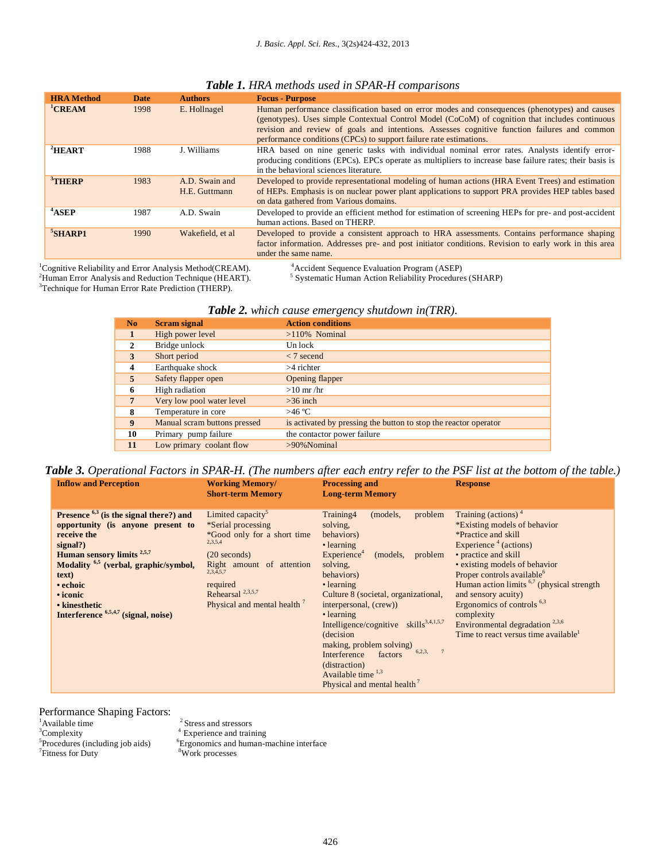| <b>HRA</b> Method  | <b>Date</b> | <b>Authors</b>                  | <b>Focus - Purpose</b>                                                                                                                                                                                                                                                                                                                                                  |
|--------------------|-------------|---------------------------------|-------------------------------------------------------------------------------------------------------------------------------------------------------------------------------------------------------------------------------------------------------------------------------------------------------------------------------------------------------------------------|
| <sup>1</sup> CREAM | 1998        | E. Hollnagel                    | Human performance classification based on error modes and consequences (phenotypes) and causes<br>(genotypes). Uses simple Contextual Control Model (CoCoM) of cognition that includes continuous<br>revision and review of goals and intentions. Assesses cognitive function failures and common<br>performance conditions (CPCs) to support failure rate estimations. |
| $^2$ HEART         | 1988        | J. Williams                     | HRA based on nine generic tasks with individual nominal error rates. Analysts identify error-<br>producing conditions (EPCs). EPCs operate as multipliers to increase base failure rates; their basis is<br>in the behavioral sciences literature.                                                                                                                      |
| $3$ THERP          | 1983        | A.D. Swain and<br>H.E. Guttmann | Developed to provide representational modeling of human actions (HRA Event Trees) and estimation<br>of HEPs. Emphasis is on nuclear power plant applications to support PRA provides HEP tables based<br>on data gathered from Various domains.                                                                                                                         |
| <sup>4</sup> ASEP  | 1987        | A.D. Swain                      | Developed to provide an efficient method for estimation of screening HEPs for pre- and post-accident<br>human actions. Based on THERP.                                                                                                                                                                                                                                  |
| $5$ SHARP1         | 1990        | Wakefield, et al.               | Developed to provide a consistent approach to HRA assessments. Contains performance shaping<br>factor information. Addresses pre- and post initiator conditions. Revision to early work in this area<br>under the same name.                                                                                                                                            |

# *Table 1. HRA methods used in SPAR-H comparisons*

<sup>1</sup>Cognitive Reliability and Error Analysis Method(CREAM). <sup>2</sup>Human Error Analysis and Reduction Technique (HEART). <sup>3</sup>Technique for Human Error Rate Prediction (THERP).

<sup>4</sup> Accident Sequence Evaluation Program (ASEP)<br><sup>5</sup> Systematic Human Action Reliability Procedures (SHARP)

|  |  |  | Table 2. which cause emergency shutdown in(TRR). |  |  |
|--|--|--|--------------------------------------------------|--|--|
|--|--|--|--------------------------------------------------|--|--|

| N <sub>o</sub> | <b>Scram signal</b>          | <b>Action conditions</b>                                         |
|----------------|------------------------------|------------------------------------------------------------------|
|                | High power level             | $>110\%$ Nominal                                                 |
| $\mathbf{2}$   | Bridge unlock                | Un lock                                                          |
| 3              | Short period                 | $<$ 7 secend                                                     |
| 4              | Earthquake shock             | $>4$ richter                                                     |
| 5              | Safety flapper open          | Opening flapper                                                  |
| 6              | High radiation               | $>10$ mr/hr                                                      |
| 7              | Very low pool water level    | $>36$ inch                                                       |
| 8              | Temperature in core          | >46 °C                                                           |
| 9              | Manual scram buttons pressed | is activated by pressing the button to stop the reactor operator |
| 10             | Primary pump failure         | the contactor power failure                                      |
| 11             | Low primary coolant flow     | $>90\%$ Nominal                                                  |

*Table 3. Operational Factors in SPAR-H. (The numbers after each entry refer to the PSF list at the bottom of the table.)* **Inflow and Perception Processing and Response**

| <b>Short-term Memory</b>                                                                                                                                                                                                                                                                                                                                                                                                                                                                                                                | <b>Long-term Memory</b>                                                                                                                                                                                                                                                                                                                                                                                                                                                                                                                                                                                                                                                                                                                                                                                                                                                                                           |
|-----------------------------------------------------------------------------------------------------------------------------------------------------------------------------------------------------------------------------------------------------------------------------------------------------------------------------------------------------------------------------------------------------------------------------------------------------------------------------------------------------------------------------------------|-------------------------------------------------------------------------------------------------------------------------------------------------------------------------------------------------------------------------------------------------------------------------------------------------------------------------------------------------------------------------------------------------------------------------------------------------------------------------------------------------------------------------------------------------------------------------------------------------------------------------------------------------------------------------------------------------------------------------------------------------------------------------------------------------------------------------------------------------------------------------------------------------------------------|
| Limited capacity <sup>5</sup><br>Presence $6,3$ (is the signal there?) and<br>*Serial processing<br>opportunity (is anyone present to<br>*Good only for a short time<br>receive the<br>2,3,5,4<br>signal?)<br><b>Human sensory limits</b> $2,5,7$<br>$(20$ seconds)<br>Modality <sup>6,5</sup> (verbal, graphic/symbol,<br>Right amount of attention<br>$2,3,\bar{4},5,7$<br>text)<br>required<br>• echoic<br>Rehearsal $^{2,3,5,7}$<br>• iconic<br>Physical and mental health<br>• kinesthetic<br>Interference 6,5,4,7 (signal, noise) | Training (actions) $4$<br>Training4<br>problem<br>(models,<br>*Existing models of behavior<br>solving,<br><i>*Practice and skill</i><br>behaviors)<br>Experience $4$ (actions)<br>• learning<br>Experience <sup>4</sup><br>• practice and skill<br>(models,<br>problem<br>• existing models of behavior<br>solving,<br>Proper controls available <sup>6</sup><br>behaviors)<br>Human action limits <sup>6,7</sup> (physical strength<br>• learning<br>Culture 8 (societal, organizational,<br>and sensory acuity)<br>Ergonomics of controls $6,3$<br>interpersonal, (crew))<br>complexity<br>• learning<br>Intelligence/cognitive skills <sup>3,4,1,5,7</sup><br>Environmental degradation $^{2,3,6}$<br>Time to react versus time available <sup>1</sup><br>(decision)<br>making, problem solving)<br>6,2,3,<br>factors<br>Interference<br>(distraction)<br>Available time $1,3$<br>Physical and mental health ' |

Performance Shaping Factors:<br>
<sup>1</sup>Available time<br>
<sup>3</sup>Complexity <sup>5</sup>Procedures (including job aids)  $7$ Fitness for Duty

 $^{\rm 2}$  Stress and stressors  $4$  Experience and training

 ${}^{6}$ Ergonomics and human-machine interface  $8W$ ork processes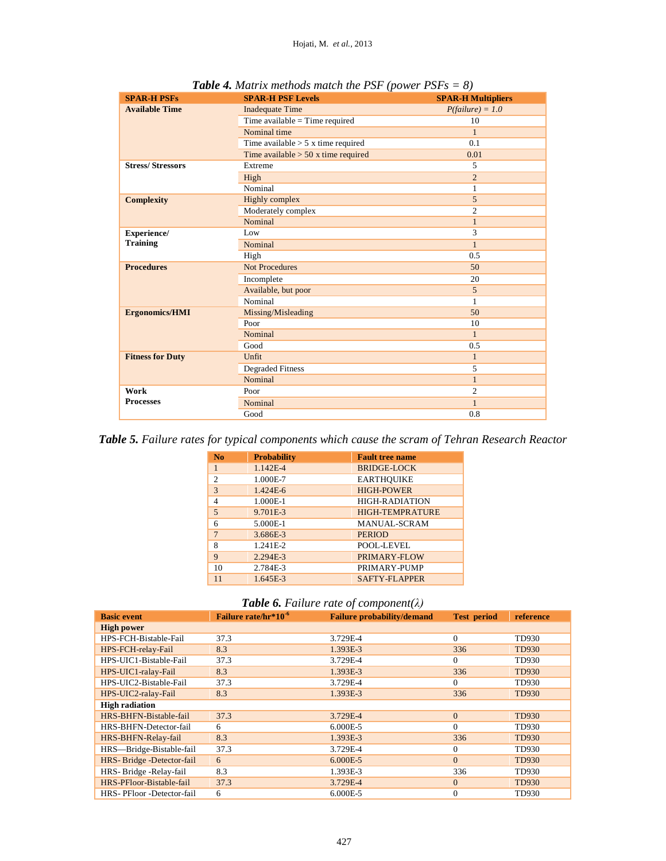| <b>SPAR-H PSFs</b>      | <b>SPAR-H PSF Levels</b>              | <b>SPAR-H Multipliers</b> |
|-------------------------|---------------------------------------|---------------------------|
| <b>Available Time</b>   | <b>Inadequate Time</b>                | $P(failure) = 1.0$        |
|                         | Time available = Time required        | 10                        |
|                         | Nominal time                          | $\mathbf{1}$              |
|                         | Time available $> 5x$ time required   | 0.1                       |
|                         | Time available $> 50$ x time required | 0.01                      |
| <b>Stress/Stressors</b> | Extreme                               | 5                         |
|                         | High                                  | $\overline{c}$            |
|                         | Nominal                               | 1                         |
| <b>Complexity</b>       | Highly complex                        | 5                         |
|                         | Moderately complex                    | $\overline{c}$            |
|                         | Nominal                               | $\mathbf{1}$              |
| Experience/             | Low                                   | 3                         |
| <b>Training</b>         | Nominal                               | $\mathbf{1}$              |
|                         | High                                  | 0.5                       |
| <b>Procedures</b>       | <b>Not Procedures</b>                 | 50                        |
|                         | Incomplete                            | 20                        |
|                         | Available, but poor                   | 5                         |
|                         | Nominal                               | 1                         |
| <b>Ergonomics/HMI</b>   | Missing/Misleading                    | 50                        |
|                         | Poor                                  | 10                        |
|                         | Nominal                               | $\mathbf{1}$              |
|                         | Good                                  | 0.5                       |
| <b>Fitness for Duty</b> | Unfit                                 | $\mathbf{1}$              |
|                         | <b>Degraded Fitness</b>               | 5                         |
|                         | Nominal                               | $\mathbf{1}$              |
| Work                    | Poor                                  | $\overline{c}$            |
| <b>Processes</b>        | Nominal                               | $\mathbf{1}$              |
|                         | Good                                  | 0.8                       |

*Table 4. Matrix methods match the PSF (power PSFs = 8)*

*Table 5. Failure rates for typical components which cause the scram of Tehran Research Reactor*

| N <sub>0</sub> | <b>Probability</b> | <b>Fault tree name</b> |
|----------------|--------------------|------------------------|
| $\mathbf{1}$   | 1.142E-4           | <b>BRIDGE-LOCK</b>     |
| $\mathfrak{D}$ | 1.000E-7           | <b>EARTHQUIKE</b>      |
| 3              | 1.424E-6           | <b>HIGH-POWER</b>      |
| $\overline{4}$ | 1.000E-1           | <b>HIGH-RADIATION</b>  |
| 5              | 9.701E-3           | <b>HIGH-TEMPRATURE</b> |
| 6              | 5.000E-1           | <b>MANUAL-SCRAM</b>    |
| $\overline{7}$ | 3.686E-3           | <b>PERIOD</b>          |
| 8              | 1.241E-2           | POOL-LEVEL             |
| 9              | 2.294E-3           | PRIMARY-FLOW           |
| 10             | 2.784E-3           | PRIMARY-PUMP           |
| 11             | $1.645E-3$         | SAFTY-FLAPPER          |

*Table 6. Failure rate of component(λ)*

| <b>Basic event</b>       | Failure rate/hr*10 <sup>-6</sup> | <b>Failure probability/demand</b> | <b>Test period</b> | reference    |
|--------------------------|----------------------------------|-----------------------------------|--------------------|--------------|
|                          |                                  |                                   |                    |              |
| <b>High power</b>        |                                  |                                   |                    |              |
| HPS-FCH-Bistable-Fail    | 37.3                             | 3.729E-4                          | $\Omega$           | TD930        |
| HPS-FCH-relay-Fail       | 8.3                              | 1.393E-3                          | 336                | TD930        |
| HPS-UIC1-Bistable-Fail   | 37.3                             | 3.729E-4                          | $\Omega$           | TD930        |
| HPS-UIC1-ralay-Fail      | 8.3                              | 1.393E-3                          | 336                | <b>TD930</b> |
| HPS-UIC2-Bistable-Fail   | 37.3                             | 3.729E-4                          | $\Omega$           | TD930        |
| HPS-UIC2-ralay-Fail      | 8.3                              | 1.393E-3                          | 336                | <b>TD930</b> |
| <b>High radiation</b>    |                                  |                                   |                    |              |
| HRS-BHFN-Bistable-fail   | 37.3                             | 3.729E-4                          | $\Omega$           | <b>TD930</b> |
| HRS-BHFN-Detector-fail   | 6                                | 6.000E-5                          | $\Omega$           | TD930        |
| HRS-BHFN-Relay-fail      | 8.3                              | 1.393E-3                          | 336                | TD930        |
| HRS-Bridge-Bistable-fail | 37.3                             | 3.729E-4                          | $\mathbf{0}$       | TD930        |
| HRS-Bridge-Detector-fail | 6                                | $6.000E - 5$                      | $\overline{0}$     | TD930        |
| HRS-Bridge-Relay-fail    | 8.3                              | 1.393E-3                          | 336                | TD930        |
| HRS-PFloor-Bistable-fail | 37.3                             | 3.729E-4                          | $\mathbf{0}$       | <b>TD930</b> |
| HRS-PFloor-Detector-fail | 6                                | 6.000E-5                          | $\mathbf{0}$       | TD930        |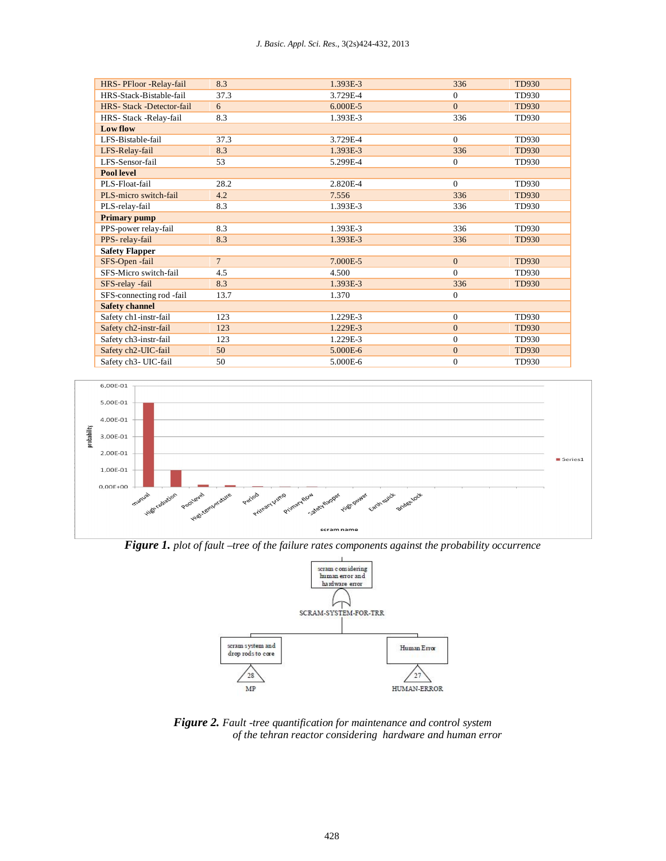#### *J. Basic. Appl. Sci. Res.*, 3(2s)424-432, 2013

| HRS- PFloor - Relay-fail  | 8.3            | 1.393E-3 | 336            | <b>TD930</b> |
|---------------------------|----------------|----------|----------------|--------------|
| HRS-Stack-Bistable-fail   | 37.3           | 3.729E-4 | $\Omega$       | TD930        |
| HRS- Stack -Detector-fail | 6              | 6.000E-5 | $\Omega$       | <b>TD930</b> |
| HRS- Stack -Relay-fail    | 8.3            | 1.393E-3 | 336            | TD930        |
| Low flow                  |                |          |                |              |
| LFS-Bistable-fail         | 37.3           | 3.729E-4 | $\mathbf{0}$   | TD930        |
| LFS-Relay-fail            | 8.3            | 1.393E-3 | 336            | <b>TD930</b> |
| LFS-Sensor-fail           | 53             | 5.299E-4 | $\mathbf{0}$   | TD930        |
| <b>Pool level</b>         |                |          |                |              |
| PLS-Float-fail            | 28.2           | 2.820E-4 | $\Omega$       | TD930        |
| PLS-micro switch-fail     | 4.2            | 7.556    | 336            | <b>TD930</b> |
| PLS-relay-fail            | 8.3            | 1.393E-3 | 336            | TD930        |
| <b>Primary pump</b>       |                |          |                |              |
| PPS-power relay-fail      | 8.3            | 1.393E-3 | 336            | TD930        |
| PPS-relay-fail            | 8.3            | 1.393E-3 | 336            | <b>TD930</b> |
| <b>Safety Flapper</b>     |                |          |                |              |
| SFS-Open-fail             | 7 <sup>1</sup> | 7.000E-5 | $\mathbf{0}$   | TD930        |
| SFS-Micro switch-fail     | 4.5            | 4.500    | $\Omega$       | TD930        |
| SFS-relay -fail           | 8.3            | 1.393E-3 | 336            | <b>TD930</b> |
| SFS-connecting rod -fail  | 13.7           | 1.370    | $\mathbf{0}$   |              |
| <b>Safety channel</b>     |                |          |                |              |
| Safety ch1-instr-fail     | 123            | 1.229E-3 | $\mathbf{0}$   | TD930        |
| Safety ch2-instr-fail     | 123            | 1.229E-3 | $\mathbf{0}$   | <b>TD930</b> |
| Safety ch3-instr-fail     | 123            | 1.229E-3 | $\mathbf{0}$   | TD930        |
| Safety ch2-UIC-fail       | 50             | 5.000E-6 | $\Omega$       | <b>TD930</b> |
| Safety ch3- UIC-fail      | 50             | 5.000E-6 | $\overline{0}$ | TD930        |



*Figure 1. plot of fault –tree of the failure rates components against the probability occurrence*



*Figure 2. Fault -tree quantification for maintenance and control system of the tehran reactor considering hardware and human error*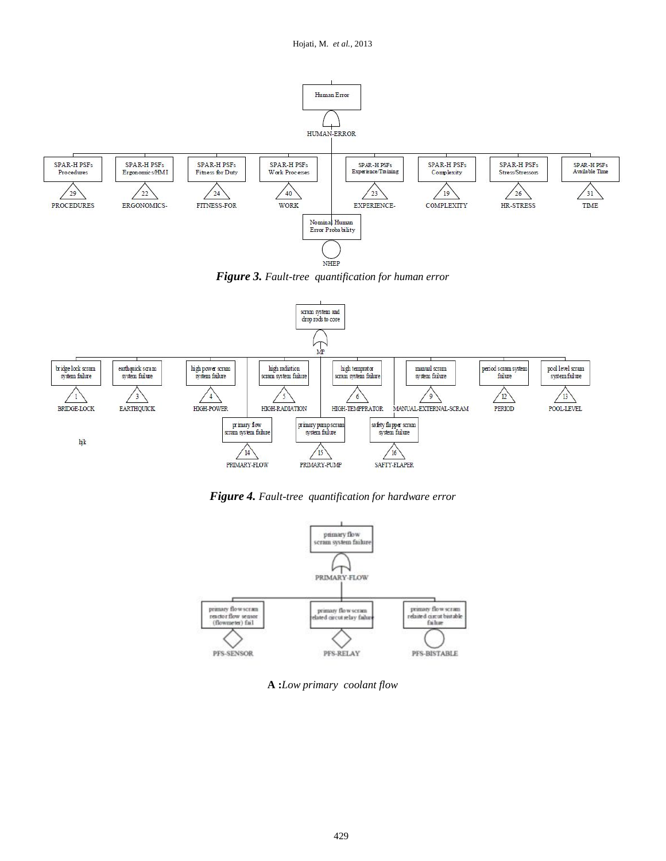

*Figure 3. Fault-tree quantification for human error*



*Figure 4. Fault-tree quantification for hardware error* 



**A :***Low primary coolant flow*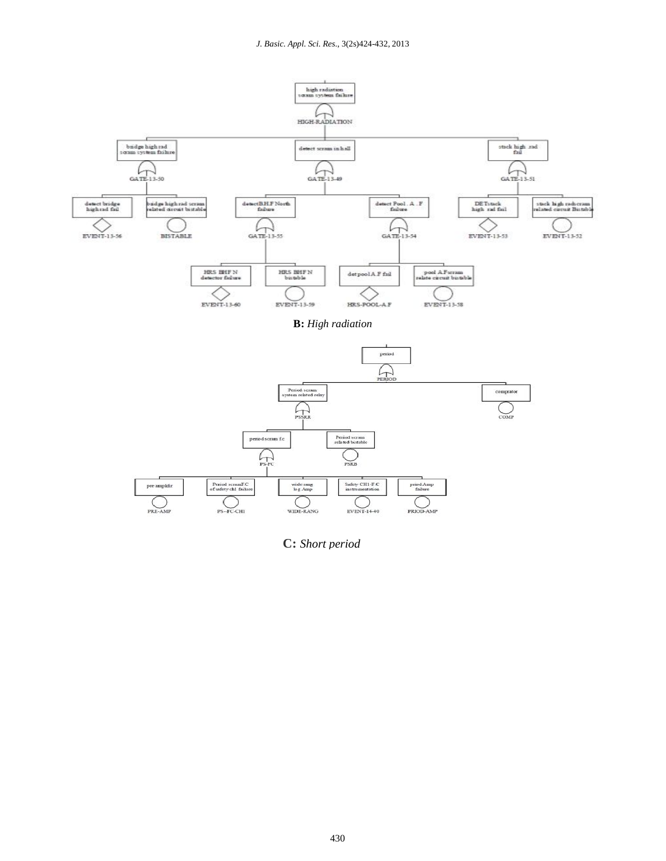

**C:** *Short period*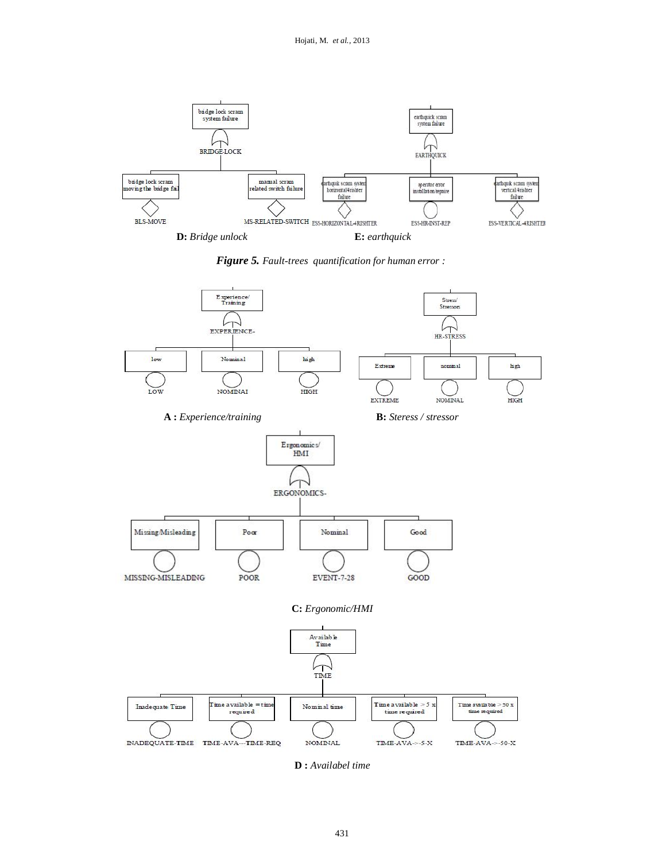

*Figure 5. Fault-trees quantification for human error :*



**D :** *Availabel time*